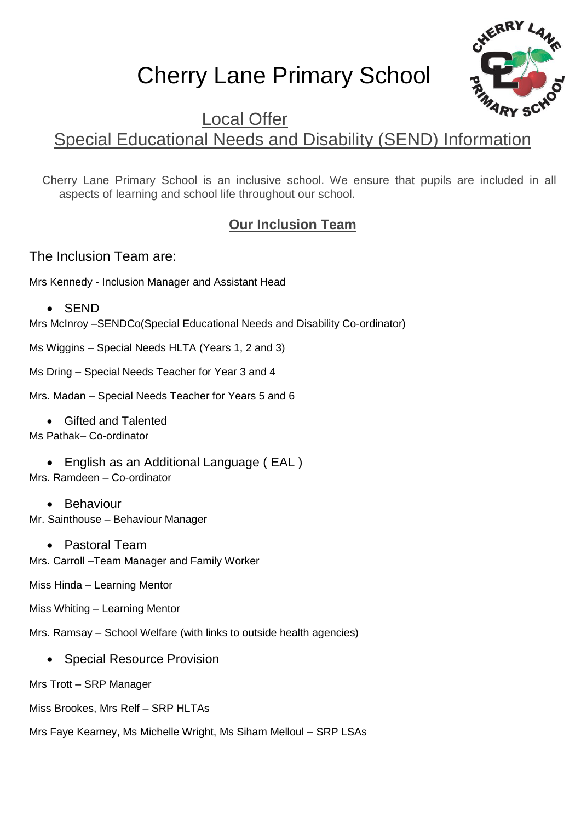# Cherry Lane Primary School



# Local Offer Special Educational Needs and Disability (SEND) Information

Cherry Lane Primary School is an inclusive school. We ensure that pupils are included in all aspects of learning and school life throughout our school.

# **Our Inclusion Team**

The Inclusion Team are:

Mrs Kennedy - Inclusion Manager and Assistant Head

• SEND

Mrs McInroy –SENDCo(Special Educational Needs and Disability Co-ordinator)

Ms Wiggins – Special Needs HLTA (Years 1, 2 and 3)

Ms Dring – Special Needs Teacher for Year 3 and 4

Mrs. Madan – Special Needs Teacher for Years 5 and 6

• Gifted and Talented

Ms Pathak– Co-ordinator

• English as an Additional Language (EAL) Mrs. Ramdeen – Co-ordinator

• Behaviour Mr. Sainthouse – Behaviour Manager

 Pastoral Team Mrs. Carroll –Team Manager and Family Worker

Miss Hinda – Learning Mentor

Miss Whiting – Learning Mentor

Mrs. Ramsay – School Welfare (with links to outside health agencies)

• Special Resource Provision

Mrs Trott – SRP Manager

Miss Brookes, Mrs Relf – SRP HLTAs

Mrs Faye Kearney, Ms Michelle Wright, Ms Siham Melloul – SRP LSAs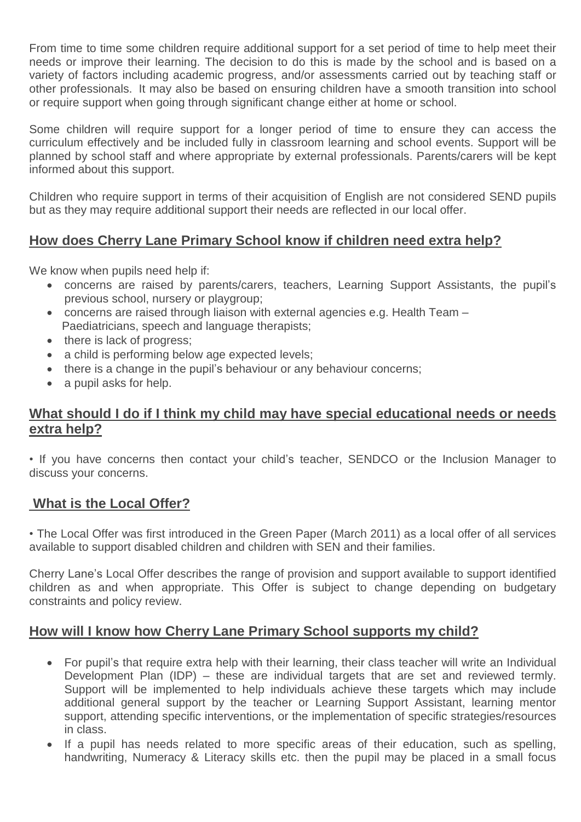From time to time some children require additional support for a set period of time to help meet their needs or improve their learning. The decision to do this is made by the school and is based on a variety of factors including academic progress, and/or assessments carried out by teaching staff or other professionals. It may also be based on ensuring children have a smooth transition into school or require support when going through significant change either at home or school.

Some children will require support for a longer period of time to ensure they can access the curriculum effectively and be included fully in classroom learning and school events. Support will be planned by school staff and where appropriate by external professionals. Parents/carers will be kept informed about this support.

Children who require support in terms of their acquisition of English are not considered SEND pupils but as they may require additional support their needs are reflected in our local offer.

# **How does Cherry Lane Primary School know if children need extra help?**

We know when pupils need help if:

- concerns are raised by parents/carers, teachers, Learning Support Assistants, the pupil's previous school, nursery or playgroup;
- concerns are raised through liaison with external agencies e.g. Health Team Paediatricians, speech and language therapists;
- there is lack of progress;
- a child is performing below age expected levels;
- there is a change in the pupil's behaviour or any behaviour concerns;
- a pupil asks for help.

#### **What should I do if I think my child may have special educational needs or needs extra help?**

• If you have concerns then contact your child's teacher, SENDCO or the Inclusion Manager to discuss your concerns.

#### **What is the Local Offer?**

• The Local Offer was first introduced in the Green Paper (March 2011) as a local offer of all services available to support disabled children and children with SEN and their families.

Cherry Lane's Local Offer describes the range of provision and support available to support identified children as and when appropriate. This Offer is subject to change depending on budgetary constraints and policy review.

#### **How will I know how Cherry Lane Primary School supports my child?**

- For pupil's that require extra help with their learning, their class teacher will write an Individual Development Plan (IDP) – these are individual targets that are set and reviewed termly. Support will be implemented to help individuals achieve these targets which may include additional general support by the teacher or Learning Support Assistant, learning mentor support, attending specific interventions, or the implementation of specific strategies/resources in class.
- If a pupil has needs related to more specific areas of their education, such as spelling, handwriting, Numeracy & Literacy skills etc. then the pupil may be placed in a small focus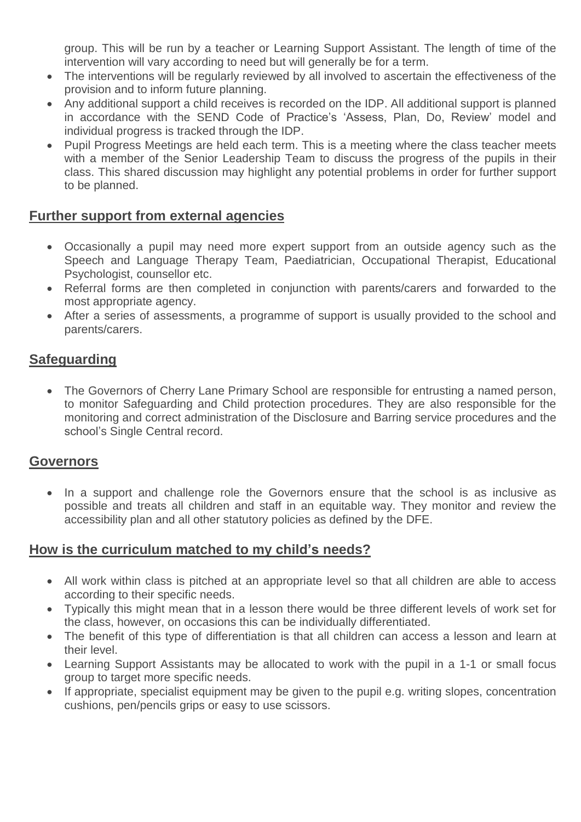group. This will be run by a teacher or Learning Support Assistant. The length of time of the intervention will vary according to need but will generally be for a term.

- The interventions will be regularly reviewed by all involved to ascertain the effectiveness of the provision and to inform future planning.
- Any additional support a child receives is recorded on the IDP. All additional support is planned in accordance with the SEND Code of Practice's 'Assess, Plan, Do, Review' model and individual progress is tracked through the IDP.
- Pupil Progress Meetings are held each term. This is a meeting where the class teacher meets with a member of the Senior Leadership Team to discuss the progress of the pupils in their class. This shared discussion may highlight any potential problems in order for further support to be planned.

# **Further support from external agencies**

- Occasionally a pupil may need more expert support from an outside agency such as the Speech and Language Therapy Team, Paediatrician, Occupational Therapist, Educational Psychologist, counsellor etc.
- Referral forms are then completed in conjunction with parents/carers and forwarded to the most appropriate agency.
- After a series of assessments, a programme of support is usually provided to the school and parents/carers.

# **Safeguarding**

• The Governors of Cherry Lane Primary School are responsible for entrusting a named person, to monitor Safeguarding and Child protection procedures. They are also responsible for the monitoring and correct administration of the Disclosure and Barring service procedures and the school's Single Central record.

# **Governors**

• In a support and challenge role the Governors ensure that the school is as inclusive as possible and treats all children and staff in an equitable way. They monitor and review the accessibility plan and all other statutory policies as defined by the DFE.

#### **How is the curriculum matched to my child's needs?**

- All work within class is pitched at an appropriate level so that all children are able to access according to their specific needs.
- Typically this might mean that in a lesson there would be three different levels of work set for the class, however, on occasions this can be individually differentiated.
- The benefit of this type of differentiation is that all children can access a lesson and learn at their level.
- Learning Support Assistants may be allocated to work with the pupil in a 1-1 or small focus group to target more specific needs.
- If appropriate, specialist equipment may be given to the pupil e.g. writing slopes, concentration cushions, pen/pencils grips or easy to use scissors.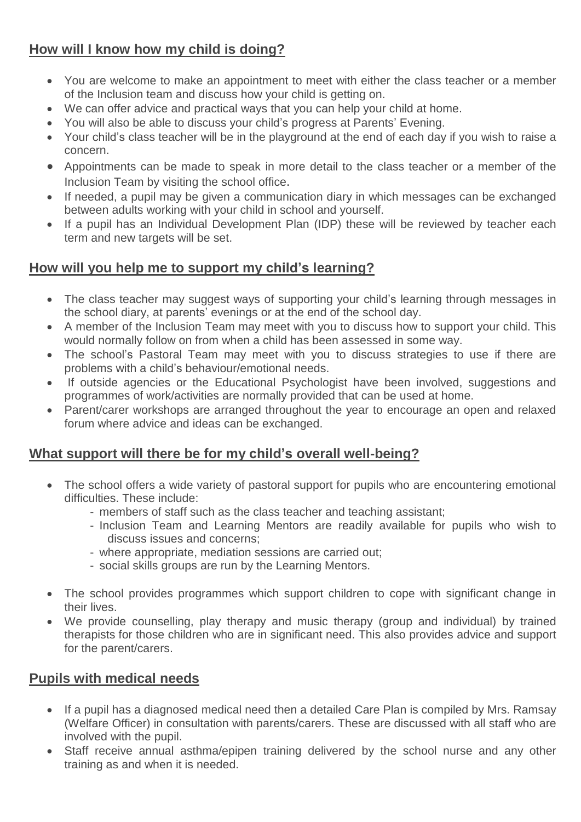# **How will I know how my child is doing?**

- You are welcome to make an appointment to meet with either the class teacher or a member of the Inclusion team and discuss how your child is getting on.
- We can offer advice and practical ways that you can help your child at home.
- You will also be able to discuss your child's progress at Parents' Evening.
- Your child's class teacher will be in the playground at the end of each day if you wish to raise a concern.
- Appointments can be made to speak in more detail to the class teacher or a member of the Inclusion Team by visiting the school office.
- If needed, a pupil may be given a communication diary in which messages can be exchanged between adults working with your child in school and yourself.
- If a pupil has an Individual Development Plan (IDP) these will be reviewed by teacher each term and new targets will be set.

# **How will you help me to support my child's learning?**

- The class teacher may suggest ways of supporting your child's learning through messages in the school diary, at parents' evenings or at the end of the school day.
- A member of the Inclusion Team may meet with you to discuss how to support your child. This would normally follow on from when a child has been assessed in some way.
- The school's Pastoral Team may meet with you to discuss strategies to use if there are problems with a child's behaviour/emotional needs.
- If outside agencies or the Educational Psychologist have been involved, suggestions and programmes of work/activities are normally provided that can be used at home.
- Parent/carer workshops are arranged throughout the year to encourage an open and relaxed forum where advice and ideas can be exchanged.

# **What support will there be for my child's overall well-being?**

- The school offers a wide variety of pastoral support for pupils who are encountering emotional difficulties. These include:
	- members of staff such as the class teacher and teaching assistant;
	- Inclusion Team and Learning Mentors are readily available for pupils who wish to discuss issues and concerns;
	- where appropriate, mediation sessions are carried out;
	- social skills groups are run by the Learning Mentors.
- The school provides programmes which support children to cope with significant change in their lives.
- We provide counselling, play therapy and music therapy (group and individual) by trained therapists for those children who are in significant need. This also provides advice and support for the parent/carers.

# **Pupils with medical needs**

- If a pupil has a diagnosed medical need then a detailed Care Plan is compiled by Mrs. Ramsay (Welfare Officer) in consultation with parents/carers. These are discussed with all staff who are involved with the pupil.
- Staff receive annual asthma/epipen training delivered by the school nurse and any other training as and when it is needed.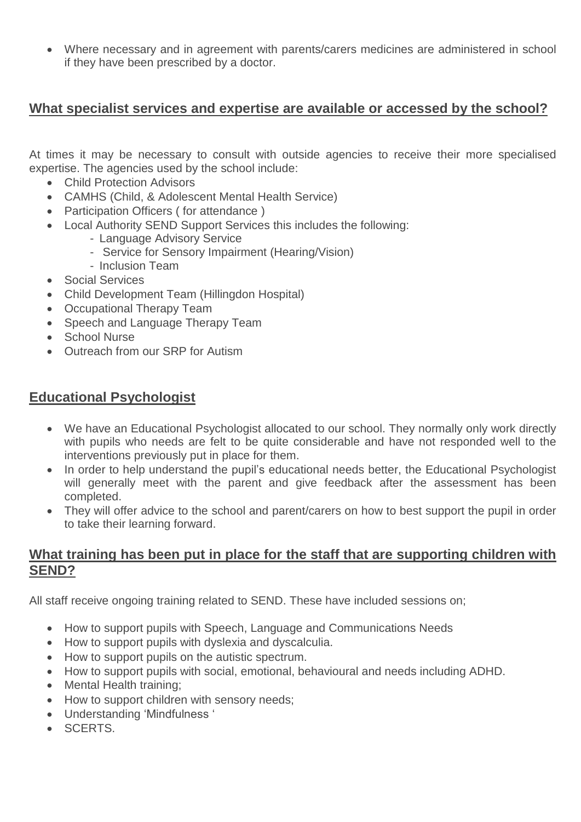Where necessary and in agreement with parents/carers medicines are administered in school if they have been prescribed by a doctor.

#### **What specialist services and expertise are available or accessed by the school?**

At times it may be necessary to consult with outside agencies to receive their more specialised expertise. The agencies used by the school include:

- Child Protection Advisors
- CAMHS (Child, & Adolescent Mental Health Service)
- Participation Officers (for attendance)
- Local Authority SEND Support Services this includes the following:
	- Language Advisory Service
	- Service for Sensory Impairment (Hearing/Vision)
	- Inclusion Team
- Social Services
- Child Development Team (Hillingdon Hospital)
- Occupational Therapy Team
- Speech and Language Therapy Team
- School Nurse
- Outreach from our SRP for Autism

# **Educational Psychologist**

- We have an Educational Psychologist allocated to our school. They normally only work directly with pupils who needs are felt to be quite considerable and have not responded well to the interventions previously put in place for them.
- In order to help understand the pupil's educational needs better, the Educational Psychologist will generally meet with the parent and give feedback after the assessment has been completed.
- They will offer advice to the school and parent/carers on how to best support the pupil in order to take their learning forward.

#### **What training has been put in place for the staff that are supporting children with SEND?**

All staff receive ongoing training related to SEND. These have included sessions on;

- How to support pupils with Speech, Language and Communications Needs
- How to support pupils with dyslexia and dyscalculia.
- How to support pupils on the autistic spectrum.
- How to support pupils with social, emotional, behavioural and needs including ADHD.
- Mental Health training;
- How to support children with sensory needs;
- Understanding 'Mindfulness '
- SCERTS.